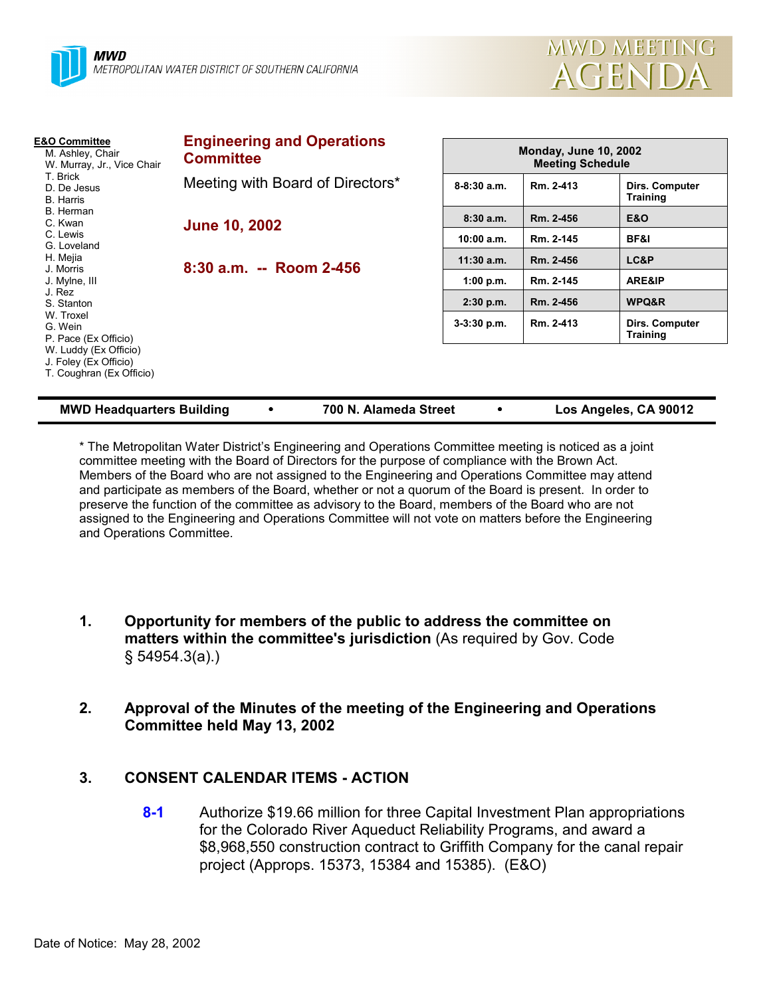



| <b>E&amp;O Committee</b><br>M. Ashley, Chair<br>W. Murray, Jr., Vice Chair<br>T. Brick<br>D. De Jesus<br><b>B.</b> Harris                                                        | <b>Engineering and Operations</b><br><b>Committee</b> | <b>Monday, June 10, 2002</b><br><b>Meeting Schedule</b> |           |                                   |
|----------------------------------------------------------------------------------------------------------------------------------------------------------------------------------|-------------------------------------------------------|---------------------------------------------------------|-----------|-----------------------------------|
|                                                                                                                                                                                  | Meeting with Board of Directors*                      | $8-8:30$ a.m.                                           | Rm. 2-413 | Dirs. Computer<br><b>Training</b> |
| B. Herman<br>C. Kwan                                                                                                                                                             |                                                       | 8:30a.m.                                                | Rm. 2-456 | <b>E&amp;O</b>                    |
| C. Lewis<br>G. Loveland                                                                                                                                                          | <b>June 10, 2002</b>                                  | 10:00 a.m.                                              | Rm. 2-145 | BF&I                              |
| H. Mejia                                                                                                                                                                         | $8:30$ a.m. -- Room 2-456                             | $11:30$ a.m.                                            | Rm. 2-456 | LC&P                              |
| J. Morris<br>J. Mylne, III<br>J. Rez<br>S. Stanton<br>W. Troxel<br>G. Wein<br>P. Pace (Ex Officio)<br>W. Luddy (Ex Officio)<br>J. Foley (Ex Officio)<br>T. Coughran (Ex Officio) |                                                       | 1:00 p.m.                                               | Rm. 2-145 | ARE&IP                            |
|                                                                                                                                                                                  |                                                       | $2:30$ p.m.                                             | Rm. 2-456 | WPQ&R                             |
|                                                                                                                                                                                  |                                                       | $3-3:30$ p.m.                                           | Rm. 2-413 | Dirs. Computer<br><b>Training</b> |
|                                                                                                                                                                                  |                                                       |                                                         |           |                                   |

|  | <b>MWD Headquarters Building</b> |  |
|--|----------------------------------|--|
|--|----------------------------------|--|

**MM Headquarter COS Angeles, CA 90012** 

\* The Metropolitan Water District's Engineering and Operations Committee meeting is noticed as a joint committee meeting with the Board of Directors for the purpose of compliance with the Brown Act. Members of the Board who are not assigned to the Engineering and Operations Committee may attend and participate as members of the Board, whether or not a quorum of the Board is present. In order to preserve the function of the committee as advisory to the Board, members of the Board who are not assigned to the Engineering and Operations Committee will not vote on matters before the Engineering and Operations Committee.

- **1. Opportunity for members of the public to address the committee on matters within the committee's jurisdiction** (As required by Gov. Code § 54954.3(a).)
- **2. Approval of the Minutes of the meeting of the Engineering and Operations Committee held May 13, 2002**

# **3. CONSENT CALENDAR ITEMS - ACTION**

**8-1** Authorize \$19.66 million for three Capital Investment Plan appropriations for the Colorado River Aqueduct Reliability Programs, and award a \$8,968,550 construction contract to Griffith Company for the canal repair project (Approps. 15373, 15384 and 15385). (E&O)